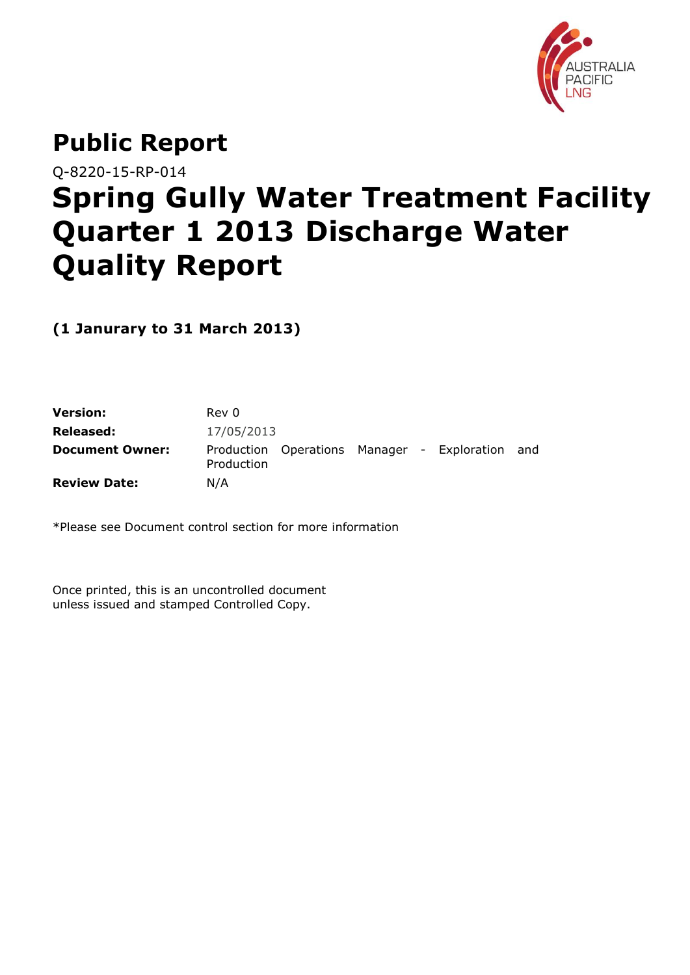

# **Public Report**

Q-8220-15-RP-014

# **Spring Gully Water Treatment Facility Quarter 1 2013 Discharge Water Quality Report**

**(1 Janurary to 31 March 2013)**

| Version:               | Rev 0      |  |                                                 |  |
|------------------------|------------|--|-------------------------------------------------|--|
| Released:              | 17/05/2013 |  |                                                 |  |
| <b>Document Owner:</b> | Production |  | Production Operations Manager - Exploration and |  |
| <b>Review Date:</b>    | N/A        |  |                                                 |  |

\*Please see Document control section for more information

Once printed, this is an uncontrolled document unless issued and stamped Controlled Copy.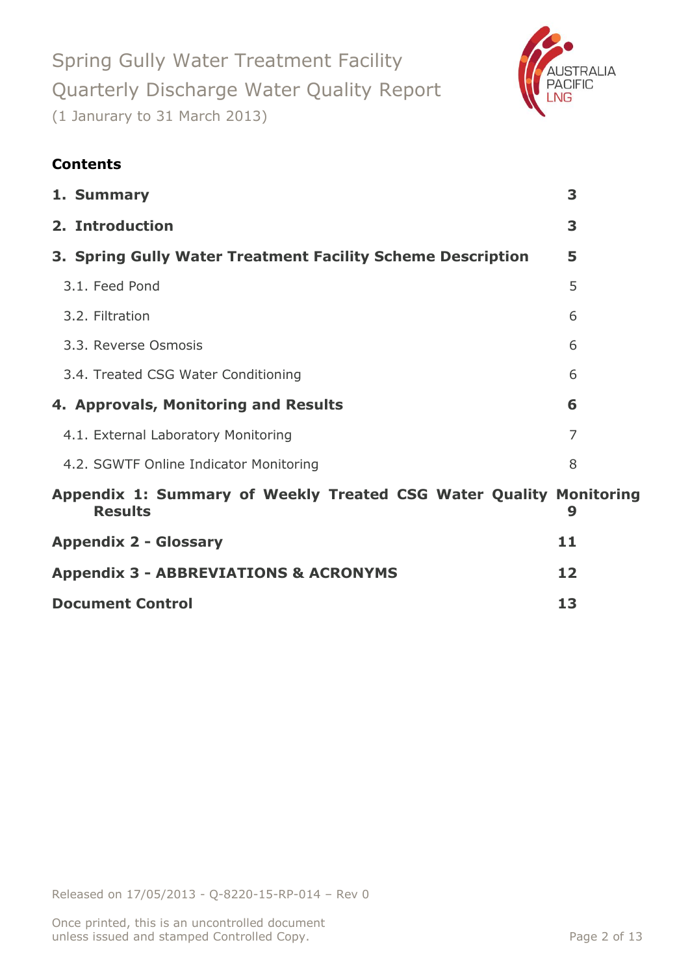

### **Contents**

|                         | 1. Summary                                                                           | 3  |  |
|-------------------------|--------------------------------------------------------------------------------------|----|--|
|                         | 2. Introduction                                                                      | 3  |  |
|                         | 3. Spring Gully Water Treatment Facility Scheme Description                          | 5  |  |
|                         | 3.1. Feed Pond                                                                       | 5  |  |
|                         | 3.2. Filtration                                                                      | 6  |  |
|                         | 3.3. Reverse Osmosis                                                                 | 6  |  |
|                         | 3.4. Treated CSG Water Conditioning                                                  | 6  |  |
|                         | 4. Approvals, Monitoring and Results                                                 | 6  |  |
|                         | 4.1. External Laboratory Monitoring                                                  | 7  |  |
|                         | 4.2. SGWTF Online Indicator Monitoring                                               | 8  |  |
|                         | Appendix 1: Summary of Weekly Treated CSG Water Quality Monitoring<br><b>Results</b> | 9  |  |
|                         | <b>Appendix 2 - Glossary</b>                                                         | 11 |  |
|                         | <b>Appendix 3 - ABBREVIATIONS &amp; ACRONYMS</b>                                     |    |  |
| <b>Document Control</b> | 13                                                                                   |    |  |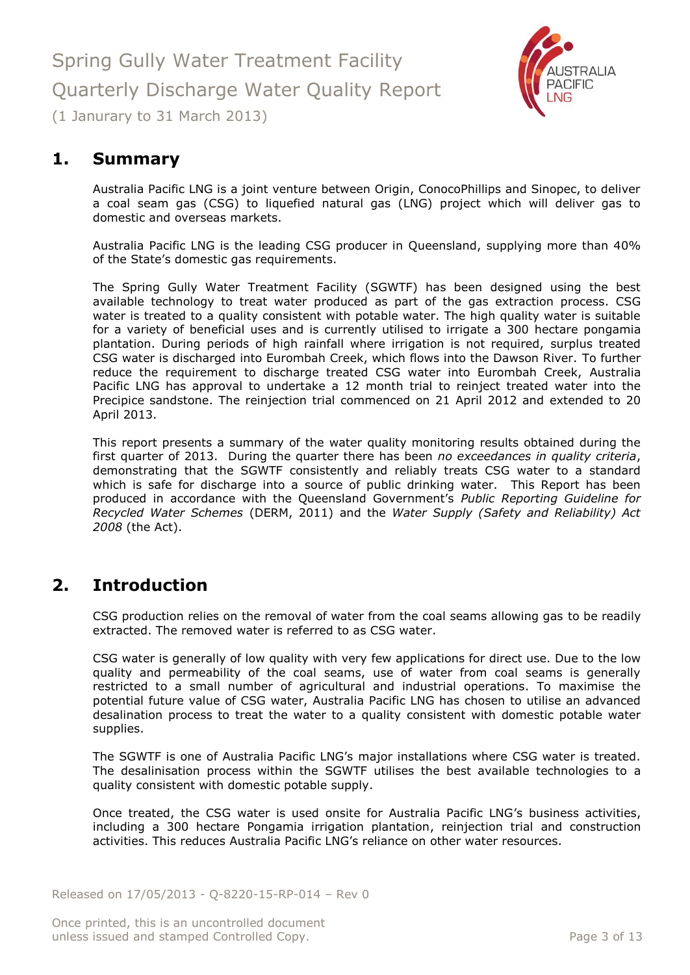

# <span id="page-2-0"></span>**1. Summary**

Australia Pacific LNG is a joint venture between Origin, ConocoPhillips and Sinopec, to deliver a coal seam gas (CSG) to liquefied natural gas (LNG) project which will deliver gas to domestic and overseas markets.

Australia Pacific LNG is the leading CSG producer in Queensland, supplying more than 40% of the State's domestic gas requirements.

The Spring Gully Water Treatment Facility (SGWTF) has been designed using the best available technology to treat water produced as part of the gas extraction process. CSG water is treated to a quality consistent with potable water. The high quality water is suitable for a variety of beneficial uses and is currently utilised to irrigate a 300 hectare pongamia plantation. During periods of high rainfall where irrigation is not required, surplus treated CSG water is discharged into Eurombah Creek, which flows into the Dawson River. To further reduce the requirement to discharge treated CSG water into Eurombah Creek, Australia Pacific LNG has approval to undertake a 12 month trial to reinject treated water into the Precipice sandstone. The reinjection trial commenced on 21 April 2012 and extended to 20 April 2013.

This report presents a summary of the water quality monitoring results obtained during the first quarter of 2013. During the quarter there has been *no exceedances in quality criteria*, demonstrating that the SGWTF consistently and reliably treats CSG water to a standard which is safe for discharge into a source of public drinking water. This Report has been produced in accordance with the Queensland Government's *Public Reporting Guideline for Recycled Water Schemes* (DERM, 2011) and the *Water Supply (Safety and Reliability) Act 2008* (the Act).

### <span id="page-2-1"></span>**2. Introduction**

CSG production relies on the removal of water from the coal seams allowing gas to be readily extracted. The removed water is referred to as CSG water.

CSG water is generally of low quality with very few applications for direct use. Due to the low quality and permeability of the coal seams, use of water from coal seams is generally restricted to a small number of agricultural and industrial operations. To maximise the potential future value of CSG water, Australia Pacific LNG has chosen to utilise an advanced desalination process to treat the water to a quality consistent with domestic potable water supplies.

The SGWTF is one of Australia Pacific LNG's major installations where CSG water is treated. The desalinisation process within the SGWTF utilises the best available technologies to a quality consistent with domestic potable supply.

Once treated, the CSG water is used onsite for Australia Pacific LNG's business activities, including a 300 hectare Pongamia irrigation plantation, reinjection trial and construction activities. This reduces Australia Pacific LNG's reliance on other water resources.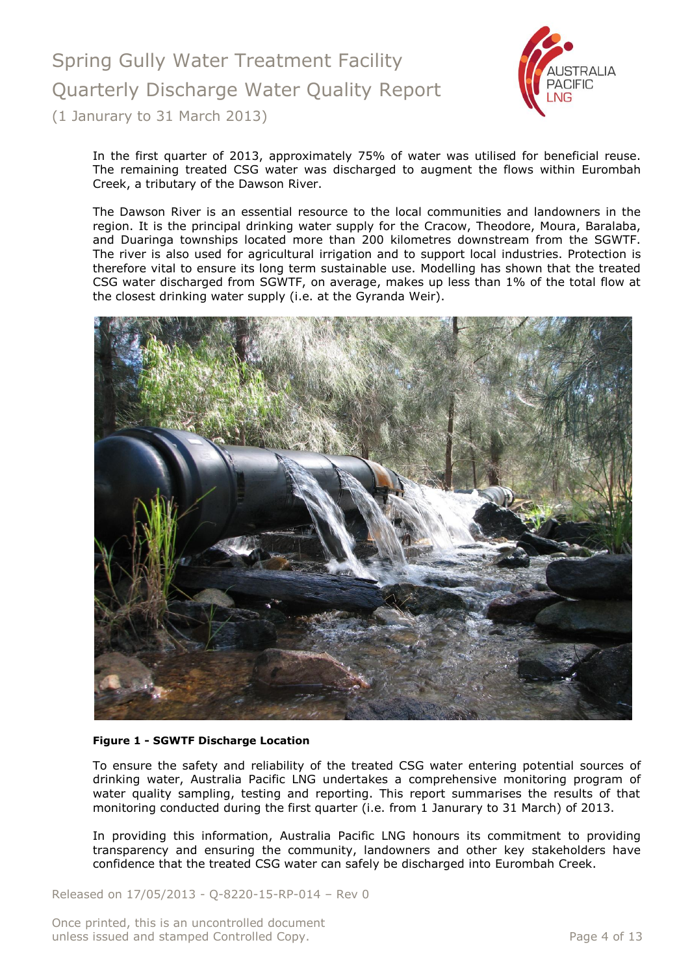

In the first quarter of 2013, approximately 75% of water was utilised for beneficial reuse. The remaining treated CSG water was discharged to augment the flows within Eurombah Creek, a tributary of the Dawson River.

The Dawson River is an essential resource to the local communities and landowners in the region. It is the principal drinking water supply for the Cracow, Theodore, Moura, Baralaba, and Duaringa townships located more than 200 kilometres downstream from the SGWTF. The river is also used for agricultural irrigation and to support local industries. Protection is therefore vital to ensure its long term sustainable use. Modelling has shown that the treated CSG water discharged from SGWTF, on average, makes up less than 1% of the total flow at the closest drinking water supply (i.e. at the Gyranda Weir).



#### **Figure 1 - SGWTF Discharge Location**

To ensure the safety and reliability of the treated CSG water entering potential sources of drinking water, Australia Pacific LNG undertakes a comprehensive monitoring program of water quality sampling, testing and reporting. This report summarises the results of that monitoring conducted during the first quarter (i.e. from 1 Janurary to 31 March) of 2013.

In providing this information, Australia Pacific LNG honours its commitment to providing transparency and ensuring the community, landowners and other key stakeholders have confidence that the treated CSG water can safely be discharged into Eurombah Creek.

Released on 17/05/2013 - Q-8220-15-RP-014 – Rev 0

Once printed, this is an uncontrolled document unless issued and stamped Controlled Copy. The extended of 13 and 200 minutes is a page 4 of 13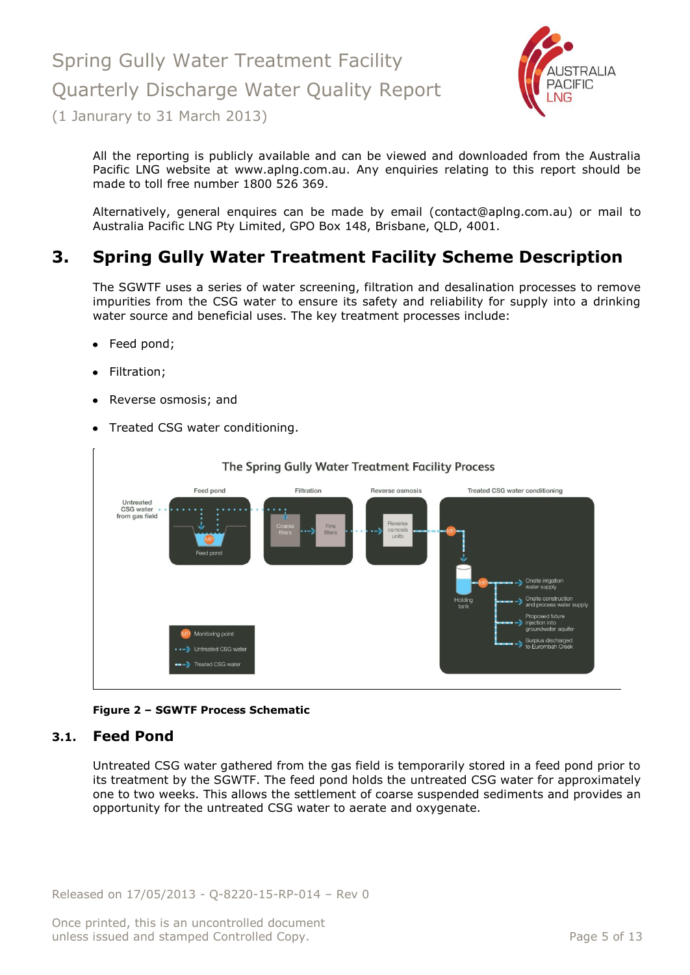

All the reporting is publicly available and can be viewed and downloaded from the Australia Pacific LNG website at [www.aplng.com.au.](http://www.aplng.com.au/) Any enquiries relating to this report should be made to toll free number 1800 526 369.

Alternatively, general enquires can be made by email [\(contact@aplng.com.au\)](mailto:contact@aplng.com.au) or mail to Australia Pacific LNG Pty Limited, GPO Box 148, Brisbane, QLD, 4001.

# <span id="page-4-0"></span>**3. Spring Gully Water Treatment Facility Scheme Description**

The SGWTF uses a series of water screening, filtration and desalination processes to remove impurities from the CSG water to ensure its safety and reliability for supply into a drinking water source and beneficial uses. The key treatment processes include:

- Feed pond;
- Filtration;
- Reverse osmosis; and
- Treated CSG water conditioning.



#### **Figure 2 – SGWTF Process Schematic**

#### <span id="page-4-1"></span>**3.1. Feed Pond**

Untreated CSG water gathered from the gas field is temporarily stored in a feed pond prior to its treatment by the SGWTF. The feed pond holds the untreated CSG water for approximately one to two weeks. This allows the settlement of coarse suspended sediments and provides an opportunity for the untreated CSG water to aerate and oxygenate.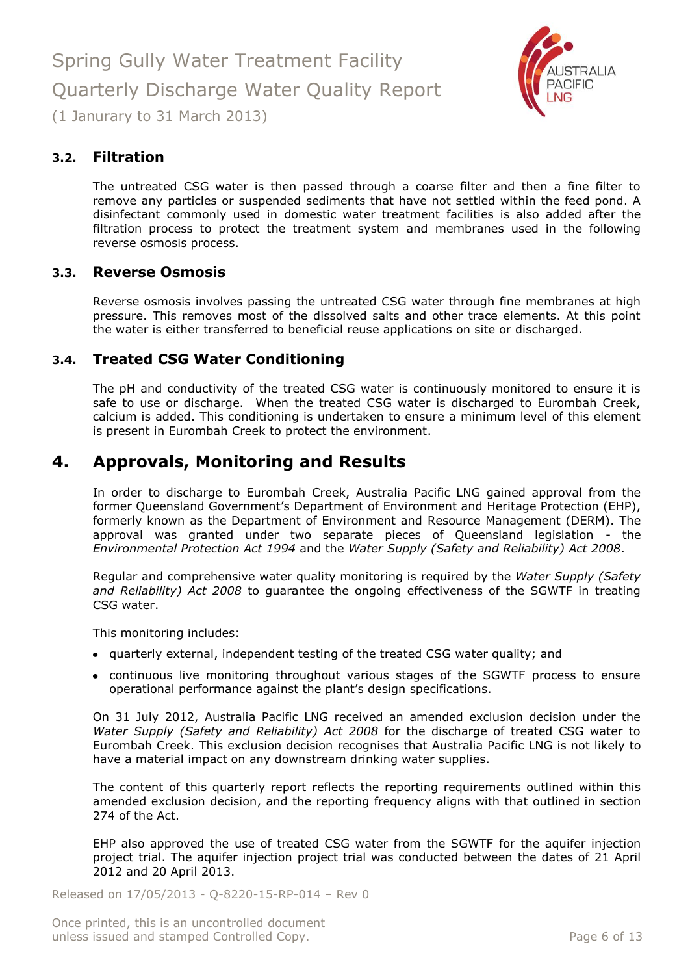

#### <span id="page-5-0"></span>**3.2. Filtration**

The untreated CSG water is then passed through a coarse filter and then a fine filter to remove any particles or suspended sediments that have not settled within the feed pond. A disinfectant commonly used in domestic water treatment facilities is also added after the filtration process to protect the treatment system and membranes used in the following reverse osmosis process.

#### <span id="page-5-1"></span>**3.3. Reverse Osmosis**

Reverse osmosis involves passing the untreated CSG water through fine membranes at high pressure. This removes most of the dissolved salts and other trace elements. At this point the water is either transferred to beneficial reuse applications on site or discharged.

#### <span id="page-5-2"></span>**3.4. Treated CSG Water Conditioning**

The pH and conductivity of the treated CSG water is continuously monitored to ensure it is safe to use or discharge. When the treated CSG water is discharged to Eurombah Creek, calcium is added. This conditioning is undertaken to ensure a minimum level of this element is present in Eurombah Creek to protect the environment.

### <span id="page-5-3"></span>**4. Approvals, Monitoring and Results**

In order to discharge to Eurombah Creek, Australia Pacific LNG gained approval from the former Queensland Government's Department of Environment and Heritage Protection (EHP), formerly known as the Department of Environment and Resource Management (DERM). The approval was granted under two separate pieces of Queensland legislation - the *Environmental Protection Act 1994* and the *Water Supply (Safety and Reliability) Act 2008*.

Regular and comprehensive water quality monitoring is required by the *Water Supply (Safety and Reliability) Act 2008* to guarantee the ongoing effectiveness of the SGWTF in treating CSG water.

This monitoring includes:

- quarterly external, independent testing of the treated CSG water quality; and
- continuous live monitoring throughout various stages of the SGWTF process to ensure operational performance against the plant's design specifications.

On 31 July 2012, Australia Pacific LNG received an amended exclusion decision under the *Water Supply (Safety and Reliability) Act 2008* for the discharge of treated CSG water to Eurombah Creek. This exclusion decision recognises that Australia Pacific LNG is not likely to have a material impact on any downstream drinking water supplies.

The content of this quarterly report reflects the reporting requirements outlined within this amended exclusion decision, and the reporting frequency aligns with that outlined in section 274 of the Act.

EHP also approved the use of treated CSG water from the SGWTF for the aquifer injection project trial. The aquifer injection project trial was conducted between the dates of 21 April 2012 and 20 April 2013.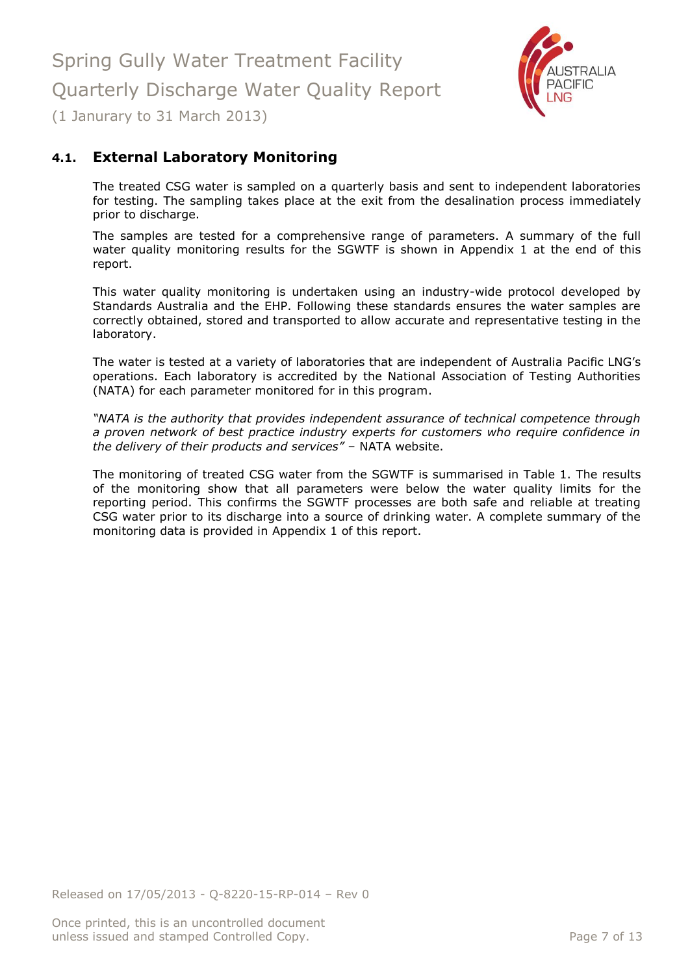

### <span id="page-6-0"></span>**4.1. External Laboratory Monitoring**

The treated CSG water is sampled on a quarterly basis and sent to independent laboratories for testing. The sampling takes place at the exit from the desalination process immediately prior to discharge.

The samples are tested for a comprehensive range of parameters. A summary of the full water quality monitoring results for the SGWTF is shown in Appendix 1 at the end of this report.

This water quality monitoring is undertaken using an industry-wide protocol developed by Standards Australia and the EHP. Following these standards ensures the water samples are correctly obtained, stored and transported to allow accurate and representative testing in the laboratory.

The water is tested at a variety of laboratories that are independent of Australia Pacific LNG's operations. Each laboratory is accredited by the National Association of Testing Authorities (NATA) for each parameter monitored for in this program.

*"NATA is the authority that provides independent assurance of technical competence through a proven network of best practice industry experts for customers who require confidence in the delivery of their products and services"* – NATA website.

The monitoring of treated CSG water from the SGWTF is summarised in Table 1. The results of the monitoring show that all parameters were below the water quality limits for the reporting period. This confirms the SGWTF processes are both safe and reliable at treating CSG water prior to its discharge into a source of drinking water. A complete summary of the monitoring data is provided in Appendix 1 of this report.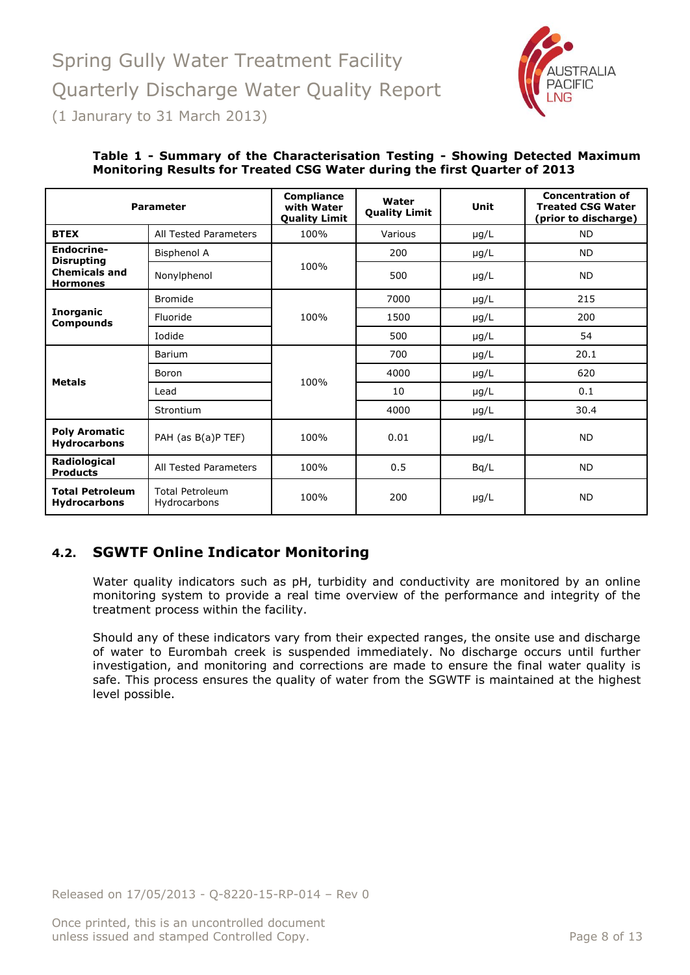

| <b>Parameter</b>                              |                                        | <b>Compliance</b><br>with Water<br><b>Quality Limit</b> | Water<br><b>Quality Limit</b> | Unit      | <b>Concentration of</b><br><b>Treated CSG Water</b><br>(prior to discharge) |
|-----------------------------------------------|----------------------------------------|---------------------------------------------------------|-------------------------------|-----------|-----------------------------------------------------------------------------|
| <b>BTEX</b>                                   | All Tested Parameters                  | 100%                                                    | Various                       | $\mu$ g/L | <b>ND</b>                                                                   |
| Endocrine-<br><b>Disrupting</b>               | <b>Bisphenol A</b>                     |                                                         | 200                           | $\mu$ g/L | <b>ND</b>                                                                   |
| <b>Chemicals and</b><br><b>Hormones</b>       | Nonylphenol                            | 100%                                                    | 500                           | $\mu$ g/L | <b>ND</b>                                                                   |
|                                               | <b>Bromide</b>                         |                                                         | 7000                          | $\mu$ g/L | 215                                                                         |
| <b>Inorganic</b><br><b>Compounds</b>          | Fluoride                               | 100%                                                    | 1500                          | $\mu$ g/L | 200                                                                         |
|                                               | Iodide                                 |                                                         | 500                           | $\mu$ g/L | 54                                                                          |
|                                               | Barium                                 |                                                         | 700                           | $\mu$ g/L | 20.1                                                                        |
| <b>Metals</b>                                 | Boron                                  | 100%                                                    | 4000                          | $\mu$ g/L | 620                                                                         |
|                                               | Lead                                   |                                                         | 10                            | $\mu$ g/L | 0.1                                                                         |
|                                               | Strontium                              |                                                         | 4000                          | $\mu$ g/L | 30.4                                                                        |
| <b>Poly Aromatic</b><br><b>Hydrocarbons</b>   | PAH (as B(a)P TEF)                     | 100%                                                    | 0.01                          | $\mu$ g/L | <b>ND</b>                                                                   |
| Radiological<br><b>Products</b>               | All Tested Parameters                  | 100%                                                    | 0.5                           | Bq/L      | <b>ND</b>                                                                   |
| <b>Total Petroleum</b><br><b>Hydrocarbons</b> | <b>Total Petroleum</b><br>Hydrocarbons | 100%                                                    | 200                           | $\mu$ g/L | <b>ND</b>                                                                   |

#### **Table 1 - Summary of the Characterisation Testing - Showing Detected Maximum Monitoring Results for Treated CSG Water during the first Quarter of 2013**

### <span id="page-7-0"></span>**4.2. SGWTF Online Indicator Monitoring**

Water quality indicators such as pH, turbidity and conductivity are monitored by an online monitoring system to provide a real time overview of the performance and integrity of the treatment process within the facility.

Should any of these indicators vary from their expected ranges, the onsite use and discharge of water to Eurombah creek is suspended immediately. No discharge occurs until further investigation, and monitoring and corrections are made to ensure the final water quality is safe. This process ensures the quality of water from the SGWTF is maintained at the highest level possible.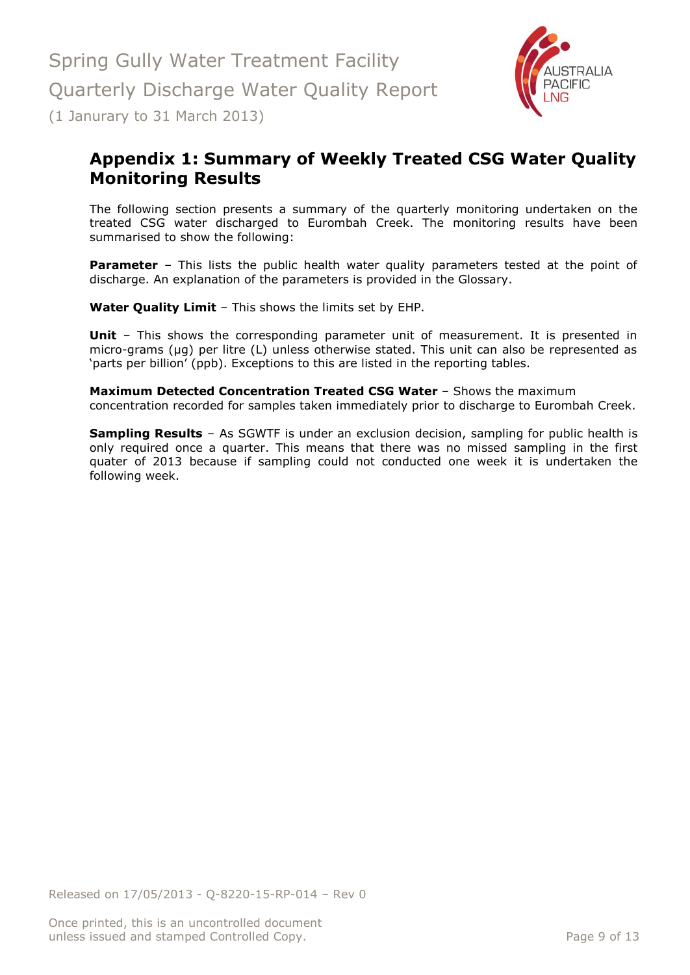

# <span id="page-8-0"></span>**Appendix 1: Summary of Weekly Treated CSG Water Quality Monitoring Results**

The following section presents a summary of the quarterly monitoring undertaken on the treated CSG water discharged to Eurombah Creek. The monitoring results have been summarised to show the following:

**Parameter** – This lists the public health water quality parameters tested at the point of discharge. An explanation of the parameters is provided in the Glossary.

**Water Quality Limit** – This shows the limits set by EHP.

**Unit** - This shows the corresponding parameter unit of measurement. It is presented in micro-grams (µg) per litre (L) unless otherwise stated. This unit can also be represented as 'parts per billion' (ppb). Exceptions to this are listed in the reporting tables.

**Maximum Detected Concentration Treated CSG Water** – Shows the maximum concentration recorded for samples taken immediately prior to discharge to Eurombah Creek.

**Sampling Results** – As SGWTF is under an exclusion decision, sampling for public health is only required once a quarter. This means that there was no missed sampling in the first quater of 2013 because if sampling could not conducted one week it is undertaken the following week.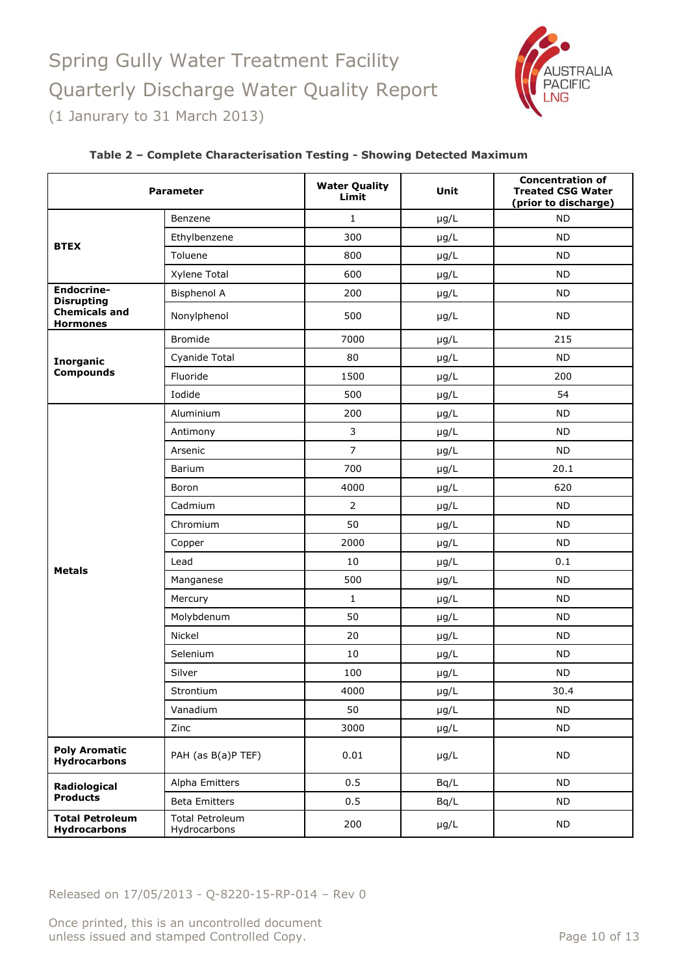

| <b>Parameter</b>                              |                                        | <b>Water Quality</b><br>Limit | Unit      | <b>Concentration of</b><br><b>Treated CSG Water</b><br>(prior to discharge) |  |
|-----------------------------------------------|----------------------------------------|-------------------------------|-----------|-----------------------------------------------------------------------------|--|
|                                               | Benzene                                | $\mathbf{1}$                  | $\mu$ g/L | <b>ND</b>                                                                   |  |
|                                               | Ethylbenzene                           | 300                           | $\mu$ g/L | <b>ND</b>                                                                   |  |
| <b>BTEX</b>                                   | Toluene                                | 800                           | $\mu$ g/L | <b>ND</b>                                                                   |  |
|                                               | Xylene Total                           | 600                           | $\mu$ g/L | <b>ND</b>                                                                   |  |
| <b>Endocrine-</b><br><b>Disrupting</b>        | <b>Bisphenol A</b>                     | 200                           | $\mu$ g/L | <b>ND</b>                                                                   |  |
| <b>Chemicals and</b><br><b>Hormones</b>       | Nonylphenol                            | 500                           | $\mu$ g/L | <b>ND</b>                                                                   |  |
|                                               | Bromide                                | 7000                          | $\mu$ g/L | 215                                                                         |  |
| <b>Inorganic</b>                              | Cyanide Total                          | 80<br>$\mu$ g/L               |           | <b>ND</b>                                                                   |  |
| <b>Compounds</b>                              | Fluoride                               | 1500                          | $\mu$ g/L | 200                                                                         |  |
|                                               | Iodide                                 | 500                           | $\mu$ g/L | 54                                                                          |  |
|                                               | Aluminium                              | 200                           | $\mu$ g/L | <b>ND</b>                                                                   |  |
|                                               | Antimony                               | 3                             | $\mu$ g/L | <b>ND</b>                                                                   |  |
|                                               | Arsenic                                | $\overline{7}$                | $\mu$ g/L | <b>ND</b>                                                                   |  |
|                                               | Barium                                 | 700<br>$\mu$ g/L              |           | 20.1                                                                        |  |
|                                               | Boron                                  | 4000                          | $\mu$ g/L | 620                                                                         |  |
|                                               | Cadmium                                | $\overline{2}$                | $\mu$ g/L | <b>ND</b>                                                                   |  |
|                                               | Chromium                               | 50                            | $\mu$ g/L | <b>ND</b>                                                                   |  |
|                                               | Copper                                 | 2000                          | $\mu$ g/L | <b>ND</b>                                                                   |  |
| <b>Metals</b>                                 | Lead                                   | 10                            | $\mu$ g/L | 0.1                                                                         |  |
|                                               | Manganese                              | 500                           | $\mu$ g/L | <b>ND</b>                                                                   |  |
|                                               | Mercury                                | $\mathbf{1}$                  | $\mu$ g/L | <b>ND</b>                                                                   |  |
|                                               | Molybdenum                             | 50                            | $\mu$ g/L | <b>ND</b>                                                                   |  |
|                                               | Nickel                                 | 20                            | $\mu$ g/L | <b>ND</b>                                                                   |  |
|                                               | Selenium                               | 10                            | $\mu$ g/L | <b>ND</b>                                                                   |  |
|                                               | Silver                                 | 100                           | $\mu$ g/L | <b>ND</b>                                                                   |  |
|                                               | Strontium                              | 4000                          | $\mu$ g/L | 30.4                                                                        |  |
|                                               | Vanadium                               | 50                            | $\mu$ g/L | <b>ND</b>                                                                   |  |
|                                               | Zinc                                   | 3000                          | $\mu$ g/L | <b>ND</b>                                                                   |  |
| <b>Poly Aromatic</b><br><b>Hydrocarbons</b>   | PAH (as B(a)P TEF)                     | 0.01                          | $\mu$ g/L | <b>ND</b>                                                                   |  |
| Radiological                                  | Alpha Emitters                         | 0.5                           | Bq/L      | <b>ND</b>                                                                   |  |
| <b>Products</b>                               | <b>Beta Emitters</b>                   | 0.5                           | Bq/L      | <b>ND</b>                                                                   |  |
| <b>Total Petroleum</b><br><b>Hydrocarbons</b> | <b>Total Petroleum</b><br>Hydrocarbons | 200                           | $\mu$ g/L | <b>ND</b>                                                                   |  |

#### **Table 2 – Complete Characterisation Testing - Showing Detected Maximum**

Released on 17/05/2013 - Q-8220-15-RP-014 – Rev 0

Once printed, this is an uncontrolled document unless issued and stamped Controlled Copy. The extended of 13 Page 10 of 13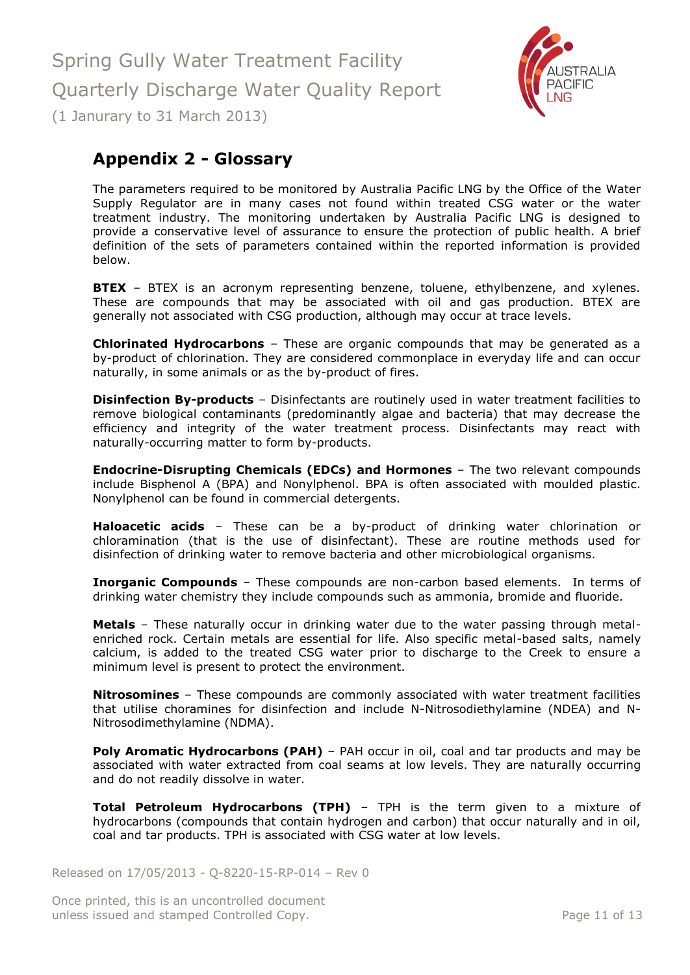

# <span id="page-10-0"></span>**Appendix 2 - Glossary**

The parameters required to be monitored by Australia Pacific LNG by the Office of the Water Supply Regulator are in many cases not found within treated CSG water or the water treatment industry. The monitoring undertaken by Australia Pacific LNG is designed to provide a conservative level of assurance to ensure the protection of public health. A brief definition of the sets of parameters contained within the reported information is provided below.

**BTEX** – BTEX is an acronym representing benzene, toluene, ethylbenzene, and xylenes. These are compounds that may be associated with oil and gas production. BTEX are generally not associated with CSG production, although may occur at trace levels.

**Chlorinated Hydrocarbons** – These are organic compounds that may be generated as a by-product of chlorination. They are considered commonplace in everyday life and can occur naturally, in some animals or as the by-product of fires.

**Disinfection By-products** - Disinfectants are routinely used in water treatment facilities to remove biological contaminants (predominantly algae and bacteria) that may decrease the efficiency and integrity of the water treatment process. Disinfectants may react with naturally-occurring matter to form by-products.

**Endocrine-Disrupting Chemicals (EDCs) and Hormones** – The two relevant compounds include Bisphenol A (BPA) and Nonylphenol. BPA is often associated with moulded plastic. Nonylphenol can be found in commercial detergents.

**Haloacetic acids** – These can be a by-product of drinking water chlorination or chloramination (that is the use of disinfectant). These are routine methods used for disinfection of drinking water to remove bacteria and other microbiological organisms.

**Inorganic Compounds** – These compounds are non-carbon based elements. In terms of drinking water chemistry they include compounds such as ammonia, bromide and fluoride.

**Metals** – These naturally occur in drinking water due to the water passing through metalenriched rock. Certain metals are essential for life. Also specific metal-based salts, namely calcium, is added to the treated CSG water prior to discharge to the Creek to ensure a minimum level is present to protect the environment.

**Nitrosomines** – These compounds are commonly associated with water treatment facilities that utilise choramines for disinfection and include N-Nitrosodiethylamine (NDEA) and N-Nitrosodimethylamine (NDMA).

**Poly Aromatic Hydrocarbons (PAH)** – PAH occur in oil, coal and tar products and may be associated with water extracted from coal seams at low levels. They are naturally occurring and do not readily dissolve in water.

**Total Petroleum Hydrocarbons (TPH)** – TPH is the term given to a mixture of hydrocarbons (compounds that contain hydrogen and carbon) that occur naturally and in oil, coal and tar products. TPH is associated with CSG water at low levels.

Released on 17/05/2013 - Q-8220-15-RP-014 – Rev 0

Once printed, this is an uncontrolled document unless issued and stamped Controlled Copy. The extended of 13 and 200 minutes is a page 11 of 13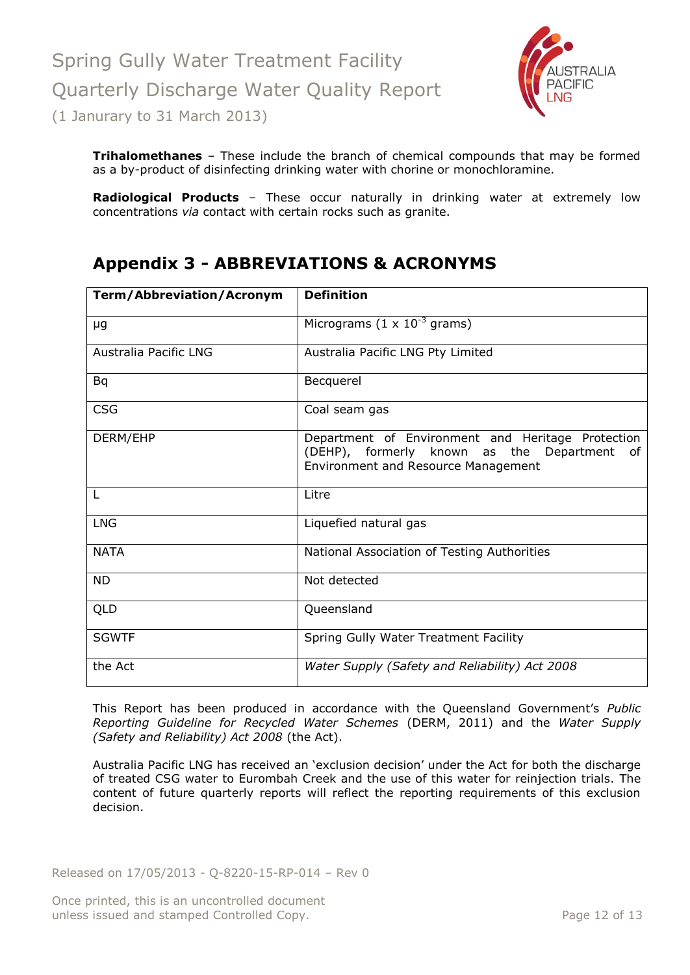

**Trihalomethanes** – These include the branch of chemical compounds that may be formed as a by-product of disinfecting drinking water with chorine or monochloramine.

**Radiological Products** – These occur naturally in drinking water at extremely low concentrations *via* contact with certain rocks such as granite.

# <span id="page-11-0"></span>**Appendix 3 - ABBREVIATIONS & ACRONYMS**

| <b>Term/Abbreviation/Acronym</b> | <b>Definition</b>                                                                                                                                   |
|----------------------------------|-----------------------------------------------------------------------------------------------------------------------------------------------------|
| μg                               | Micrograms $(1 \times 10^{-3} \text{ grams})$                                                                                                       |
| Australia Pacific LNG            | Australia Pacific LNG Pty Limited                                                                                                                   |
| <b>Bq</b>                        | Becquerel                                                                                                                                           |
| <b>CSG</b>                       | Coal seam gas                                                                                                                                       |
| DERM/EHP                         | Department of Environment and Heritage Protection<br>(DEHP), formerly known as the Department<br>of .<br><b>Environment and Resource Management</b> |
| L                                | Litre                                                                                                                                               |
| <b>LNG</b>                       | Liquefied natural gas                                                                                                                               |
| <b>NATA</b>                      | National Association of Testing Authorities                                                                                                         |
| <b>ND</b>                        | Not detected                                                                                                                                        |
| QLD                              | Queensland                                                                                                                                          |
| <b>SGWTF</b>                     | Spring Gully Water Treatment Facility                                                                                                               |
| the Act                          | Water Supply (Safety and Reliability) Act 2008                                                                                                      |

This Report has been produced in accordance with the Queensland Government's *Public Reporting Guideline for Recycled Water Schemes* (DERM, 2011) and the *Water Supply (Safety and Reliability) Act 2008* (the Act).

Australia Pacific LNG has received an 'exclusion decision' under the Act for both the discharge of treated CSG water to Eurombah Creek and the use of this water for reinjection trials. The content of future quarterly reports will reflect the reporting requirements of this exclusion decision.